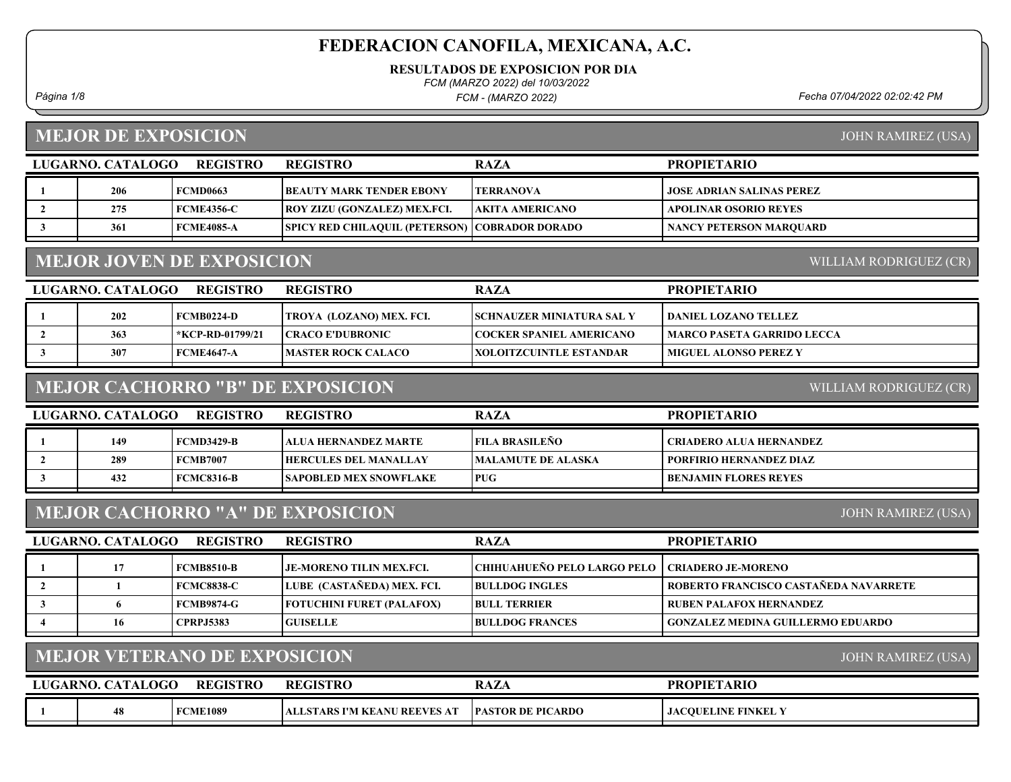RESULTADOS DE EXPOSICION POR DIA

FCM (MARZO 2022) del 10/03/2022

FCM - (MARZO 2022)

Página 1/8 Fecha 07/04/2022 02:02:42 PM

# MEJOR DE EXPOSICION

JOHN RAMIREZ (USA)

|                | LUGARNO. CATALOGO        | <b>REGISTRO</b>                     | <b>REGISTRO</b>                         | <b>RAZA</b>                        | <b>PROPIETARIO</b>                       |
|----------------|--------------------------|-------------------------------------|-----------------------------------------|------------------------------------|------------------------------------------|
| 1              | 206                      | <b>FCMD0663</b>                     | <b>BEAUTY MARK TENDER EBONY</b>         | <b>TERRANOVA</b>                   | <b>JOSE ADRIAN SALINAS PEREZ</b>         |
| $\overline{2}$ | 275                      | <b>FCME4356-C</b>                   | ROY ZIZU (GONZALEZ) MEX.FCI.            | <b>AKITA AMERICANO</b>             | <b>APOLINAR OSORIO REYES</b>             |
| $\mathbf{3}$   | 361                      | <b>FCME4085-A</b>                   | <b>SPICY RED CHILAQUIL (PETERSON)</b>   | <b>COBRADOR DORADO</b>             | <b>NANCY PETERSON MARQUARD</b>           |
|                |                          | <b>MEJOR JOVEN DE EXPOSICION</b>    |                                         |                                    | WILLIAM RODRIGUEZ (CR)                   |
|                | LUGARNO. CATALOGO        | <b>REGISTRO</b>                     | <b>REGISTRO</b>                         | <b>RAZA</b>                        | <b>PROPIETARIO</b>                       |
| -1             | 202                      | <b>FCMB0224-D</b>                   | TROYA (LOZANO) MEX. FCI.                | SCHNAUZER MINIATURA SAL Y          | DANIEL LOZANO TELLEZ                     |
| $\overline{2}$ | 363                      | *KCP-RD-01799/21                    | <b>CRACO E'DUBRONIC</b>                 | <b>COCKER SPANIEL AMERICANO</b>    | <b>MARCO PASETA GARRIDO LECCA</b>        |
| $\mathbf{3}$   | 307                      | <b>FCME4647-A</b>                   | <b>MASTER ROCK CALACO</b>               | <b>XOLOITZCUINTLE ESTANDAR</b>     | <b>MIGUEL ALONSO PEREZ Y</b>             |
|                |                          |                                     | <b>MEJOR CACHORRO "B" DE EXPOSICION</b> |                                    | WILLIAM RODRIGUEZ (CR)                   |
|                | LUGARNO. CATALOGO        | <b>REGISTRO</b>                     | <b>REGISTRO</b>                         | <b>RAZA</b>                        | <b>PROPIETARIO</b>                       |
| -1             | 149                      | <b>FCMD3429-B</b>                   | ALUA HERNANDEZ MARTE                    | <b>FILA BRASILEÑO</b>              | <b>CRIADERO ALUA HERNANDEZ</b>           |
| $\overline{2}$ | 289                      | <b>FCMB7007</b>                     | <b>HERCULES DEL MANALLAY</b>            | <b>MALAMUTE DE ALASKA</b>          | PORFIRIO HERNANDEZ DIAZ                  |
| $\mathbf{3}$   | 432                      | <b>FCMC8316-B</b>                   | <b>SAPOBLED MEX SNOWFLAKE</b>           | <b>PUG</b>                         | <b>BENJAMIN FLORES REYES</b>             |
|                |                          |                                     | <b>MEJOR CACHORRO "A" DE EXPOSICION</b> |                                    | <b>JOHN RAMIREZ (USA)</b>                |
|                | LUGARNO. CATALOGO        | <b>REGISTRO</b>                     | <b>REGISTRO</b>                         | <b>RAZA</b>                        | <b>PROPIETARIO</b>                       |
| 1              | 17                       | <b>FCMB8510-B</b>                   | <b>JE-MORENO TILIN MEX.FCI.</b>         | <b>CHIHUAHUEÑO PELO LARGO PELO</b> | <b>CRIADERO JE-MORENO</b>                |
| $\overline{2}$ | 1                        | <b>FCMC8838-C</b>                   | LUBE (CASTAÑEDA) MEX. FCI.              | <b>BULLDOG INGLES</b>              | ROBERTO FRANCISCO CASTAÑEDA NAVARRETE    |
| $\mathbf{3}$   | 6                        | <b>FCMB9874-G</b>                   | <b>FOTUCHINI FURET (PALAFOX)</b>        | <b>BULL TERRIER</b>                | <b>RUBEN PALAFOX HERNANDEZ</b>           |
| $\overline{4}$ | 16                       | <b>CPRPJ5383</b>                    | <b>GUISELLE</b>                         | <b>BULLDOG FRANCES</b>             | <b>GONZALEZ MEDINA GUILLERMO EDUARDO</b> |
|                |                          | <b>MEJOR VETERANO DE EXPOSICION</b> |                                         |                                    | <b>JOHN RAMIREZ (USA)</b>                |
|                | <b>LUGARNO. CATALOGO</b> | <b>REGISTRO</b>                     | <b>REGISTRO</b>                         | <b>RAZA</b>                        | <b>PROPIETARIO</b>                       |
| $\mathbf{1}$   | 48                       | <b>FCME1089</b>                     | <b>ALLSTARS I'M KEANU REEVES AT</b>     | <b>PASTOR DE PICARDO</b>           | <b>JACOUELINE FINKEL Y</b>               |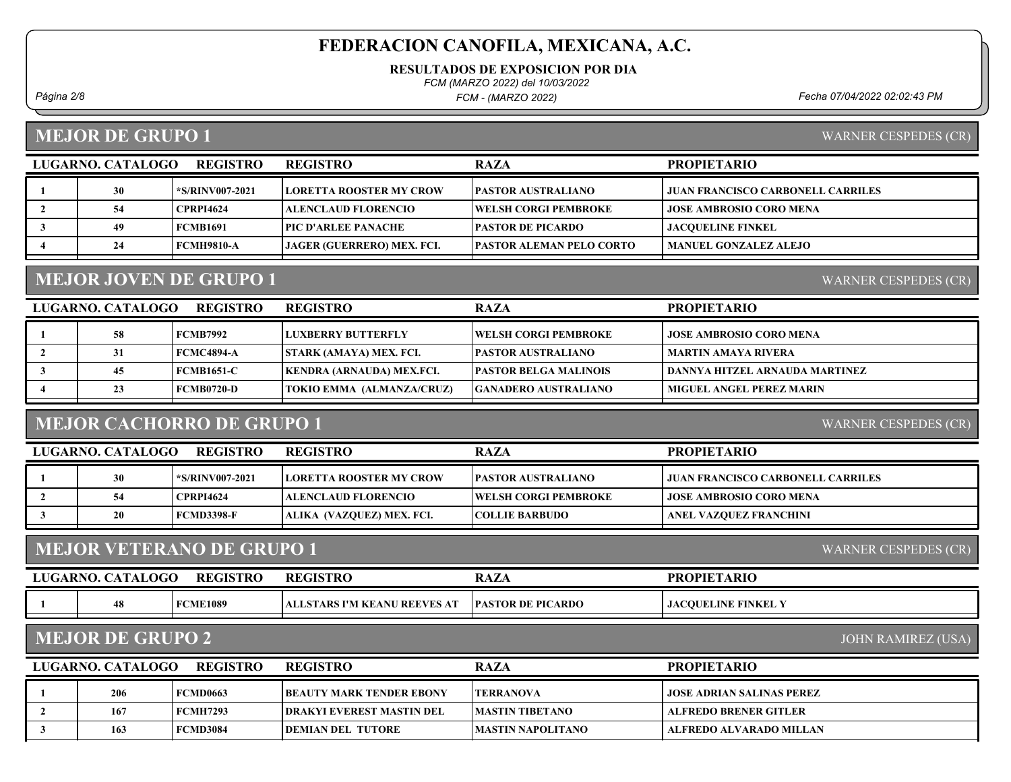RESULTADOS DE EXPOSICION POR DIA

FCM (MARZO 2022) del 10/03/2022

FCM - (MARZO 2022)

Página 2/8 Fecha 07/04/2022 02:02:43 PM

#### MEJOR DE GRUPO 1

WARNER CESPEDES (CR)

WARNER CESPEDES (CR)

| <b>REGISTRO</b><br>LUGARNO. CATALOGO |    |                  | REGISTRO                       | <b>RAZA</b>                      | <b>PROPIETARIO</b>                       |
|--------------------------------------|----|------------------|--------------------------------|----------------------------------|------------------------------------------|
|                                      | 30 | *S/RINV007-2021  | <b>LORETTA ROOSTER MY CROW</b> | <b>PASTOR AUSTRALIANO</b>        | <b>JUAN FRANCISCO CARBONELL CARRILES</b> |
|                                      | 54 | <b>CPRPI4624</b> | ALENCLAUD FLORENCIO_           | <b>TWELSH CORGI PEMBROKE</b>     | <b>JOSE AMBROSIO CORO MENA</b>           |
|                                      | 49 | <b>FCMB1691</b>  | <b>  PIC D'ARLEE PANACHE</b>   | <b> PASTOR DE PICARDO</b>        | <b>JACOUELINE FINKEL</b>                 |
|                                      | 24 | FCMH9810-A       | JAGER (GUERRERO) MEX. FCI.     | <b>IPASTOR ALEMAN PELO CORTO</b> | <b>MANUEL GONZALEZ ALEJO</b>             |
|                                      |    |                  |                                |                                  |                                          |

## MEJOR JOVEN DE GRUPO 1

LUGARNO. CATALOGO REGISTRO RAZA PROPIETARIO REGISTRO 1 58 FCMB7992 LUXBERRY BUTTERFLY JOSE AMBROSIO CORO MENA WELSH CORGI PEMBROKE 2 31 FCMC4894-A STARK (AMAYA) MEX. FCI. PASTOR AUSTRALIANO MARTIN AMAYA RIVERA 3 | 45 FCMB1651-C KENDRA (ARNAUDA) MEX.FCI. | PASTOR BELGA MALINOIS | DANNYA HITZEL ARNAUDA MARTINEZ 4 23 FCMB0720-D TOKIO EMMA (ALMANZA/CRUZ) GANADERO AUSTRALIANO MIGUEL ANGEL PEREZ MARIN

#### MEJOR CACHORRO DE GRUPO 1

WARNER CESPEDES (CR)

| <b>REGISTRO</b><br>LUGARNO, CATALOGO |    |                  | <b>REGISTRO</b>                  | <b>RAZA</b>                  | <b>PROPIETARIO</b>                       |
|--------------------------------------|----|------------------|----------------------------------|------------------------------|------------------------------------------|
|                                      | 30 | *S/RINV007-2021  | <b>ILORETTA ROOSTER MY CROW</b>  | <b>PASTOR AUSTRALIANO</b>    | <b>JUAN FRANCISCO CARBONELL CARRILES</b> |
|                                      | 54 | <b>CPRPI4624</b> | ALENCLAUD FLORENCIO              | <b>TWELSH CORGI PEMBROKE</b> | <b>JOSE AMBROSIO CORO MENA</b>           |
|                                      | 20 | FCMD3398-F       | <b>ALIKA (VAZOUEZ) MEX. FCI.</b> | <b>COLLIE BARBUDO</b>        | ANEL VAZOUEZ FRANCHINI                   |

#### MEJOR VETERANO DE GRUPO 1

| <b>LUGARNO.</b> C | <b>CATALOGO</b> | <b>REGISTRO</b> | <b>REGISTRC</b>                              | <b>RAZA</b>              | <b>PROPIETARIO</b>       |
|-------------------|-----------------|-----------------|----------------------------------------------|--------------------------|--------------------------|
|                   | 48              | <b>FCME1089</b> | <b>J REEVES AT</b><br>LSTARS I'M KEANU<br>AL | <b>PASTOR DE PICARDO</b> | <b>JACOUELINE FINKEL</b> |

#### MEJOR DE GRUPO 2

JOHN RAMIREZ (USA)

WARNER CESPEDES (CR)

| <b>REGISTRO</b><br>LUGARNO, CATALOGO |     |                 | <b>REGISTRO</b>                   | <b>RAZA</b>             | <b>PROPIETARIO</b>               |
|--------------------------------------|-----|-----------------|-----------------------------------|-------------------------|----------------------------------|
|                                      | 206 | <b>FCMD0663</b> | <b>IBEAUTY MARK TENDER EBONY</b>  | <b>TERRANOVA</b>        | <b>JOSE ADRIAN SALINAS PEREZ</b> |
|                                      | 167 | <b>FCMH7293</b> | <b> DRAKYI EVEREST MASTIN DEL</b> | <b>IMASTIN TIBETANO</b> | ALFREDO BRENER GITLER            |
|                                      | 163 | <b>FCMD3084</b> | <b>DEMIAN DEL TUTORE</b>          | MASTIN NAPOLITANO       | ALFREDO ALVARADO MILLAN          |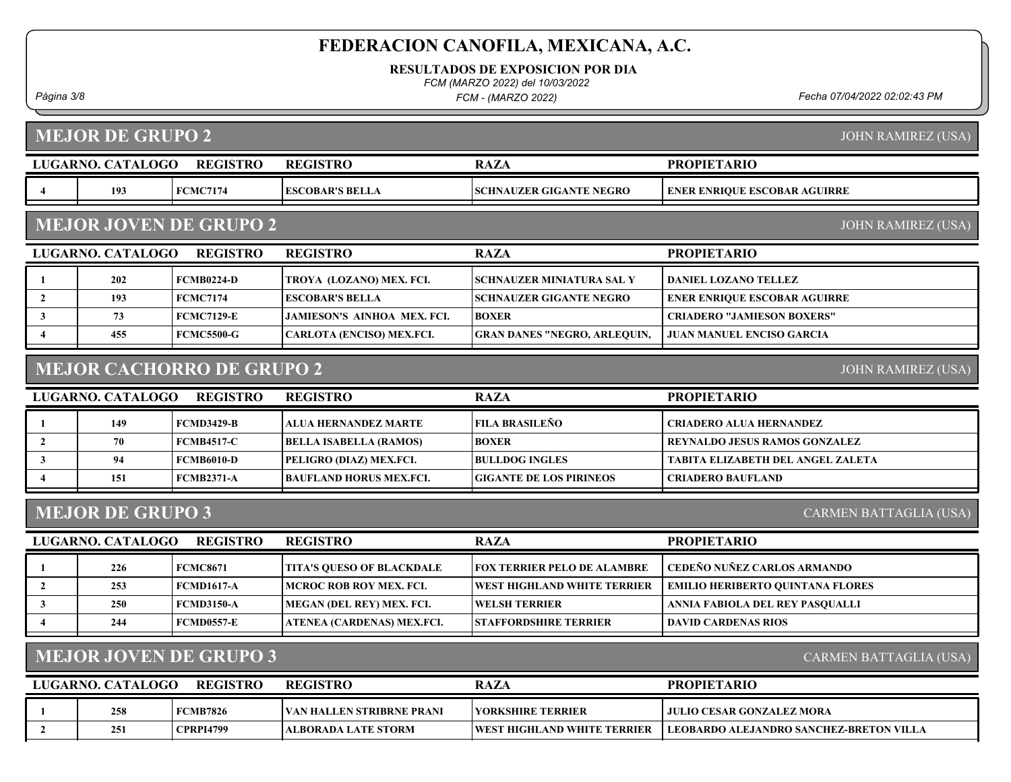RESULTADOS DE EXPOSICION POR DIA

FCM (MARZO 2022) del 10/03/2022

FCM - (MARZO 2022)

Página 3/8 Fecha 07/04/2022 02:02:43 PM

MEJOR DE GRUPO 2

LUGARNO. CATALOGO REGISTRO RAZA PROPIETARIO JOHN RAMIREZ (USA) REGISTRO 4 | 193 | FCMC7174 | ESCOBAR'S BELLA | SCHNAUZER GIGANTE NEGRO | ENER ENRIQUE ESCOBAR AGUIRRE LUGARNO. CATALOGO REGISTRO RAZA MEJOR JOVEN DE GRUPO 2 PROPIETARIO JOHN RAMIREZ (USA) REGISTRO 1 202 FCMB0224-D TROYA (LOZANO) MEX. FCI. SCHNAUZER MINIATURA SAL Y DANIEL LOZANO TELLEZ 2 193 FCMC7174 ESCOBAR'S BELLA SCHNAUZER GIGANTE NEGRO ENER ENRIQUE ESCOBAR AGUIRRE 3 73 FCMC7129-E JAMIESON'S AINHOA MEX. FCI. CRIADERO "JAMIESON BOXERS" BOXER 4 | 455 FCMC5500-G | CARLOTA (ENCISO) MEX.FCI. | GRAN DANES "NEGRO, ARLEQUIN, | JUAN MANUEL ENCISO GARCIA LUGARNO. CATALOGO REGISTRO RAZA MEJOR CACHORRO DE GRUPO 2 PROPIETARIO JOHN RAMIREZ (USA) REGISTRO 1 149 FCMD3429-B ALUA HERNANDEZ MARTE CRIADERO ALUA HERNANDEZ FILA BRASILEÑO 2 | 70 | FCMB4517-C | BELLA ISABELLA (RAMOS) | BOXER | REYNALDO JESUS RAMOS GONZALEZ 3 94 FCMB6010-D PELIGRO (DIAZ) MEX.FCI. BULLDOG INGLES TABITA ELIZABETH DEL ANGEL ZALETA 4 151 FCMB2371-A BAUFLAND HORUS MEX.FCI. CRIADERO BAUFLAND GIGANTE DE LOS PIRINEOS LUGARNO. CATALOGO REGISTRO RAZA MEJOR DE GRUPO 3 PROPIETARIO CARMEN BATTAGLIA (USA) REGISTRO 1 226 FCMC8671 TITA'S QUESO OF BLACKDALE FOX TERRIER PELO DE ALAMBRE CEDEÑO NUÑEZ CARLOS ARMANDO 2 | 253 | FCMD1617-A MCROC ROB ROY MEX. FCI. | WEST HIGHLAND WHITE TERRIER | EMILIO HERIBERTO QUINTANA FLORES 3 250 FCMD3150-A MEGAN (DEL REY) MEX. FCI. WELSH TERRIER ANNIA FABIOLA DEL REY PASQUALLI 4 244 FCMD0557-E ATENEA (CARDENAS) MEX.FCI. STAFFORDSHIRE TERRIER DAVID CARDENAS RIOS MEJOR JOVEN DE GRUPO 3 CARMEN BATTAGLIA (USA)

| LUGARNO, CATALOGO | <b>REGISTRO</b> | <b>REGISTRO</b>                   | <b>RAZA</b>                         | <b>PROPIETARIO</b>                              |
|-------------------|-----------------|-----------------------------------|-------------------------------------|-------------------------------------------------|
| 258               | <b>FCMB7826</b> | <b>IVAN HALLEN STRIBRNE PRANI</b> | <b>TYORKSHIRE TERRIER</b>           | ! JULIO CESAR GONZALEZ MORA.                    |
| 251               | CPRPI4799       | <b>TALBORADA LATE STORM</b>       | <b>IWEST HIGHLAND WHITE TERRIER</b> | <b>TECOBARDO ALEJANDRO SANCHEZ-BRETON VILLA</b> |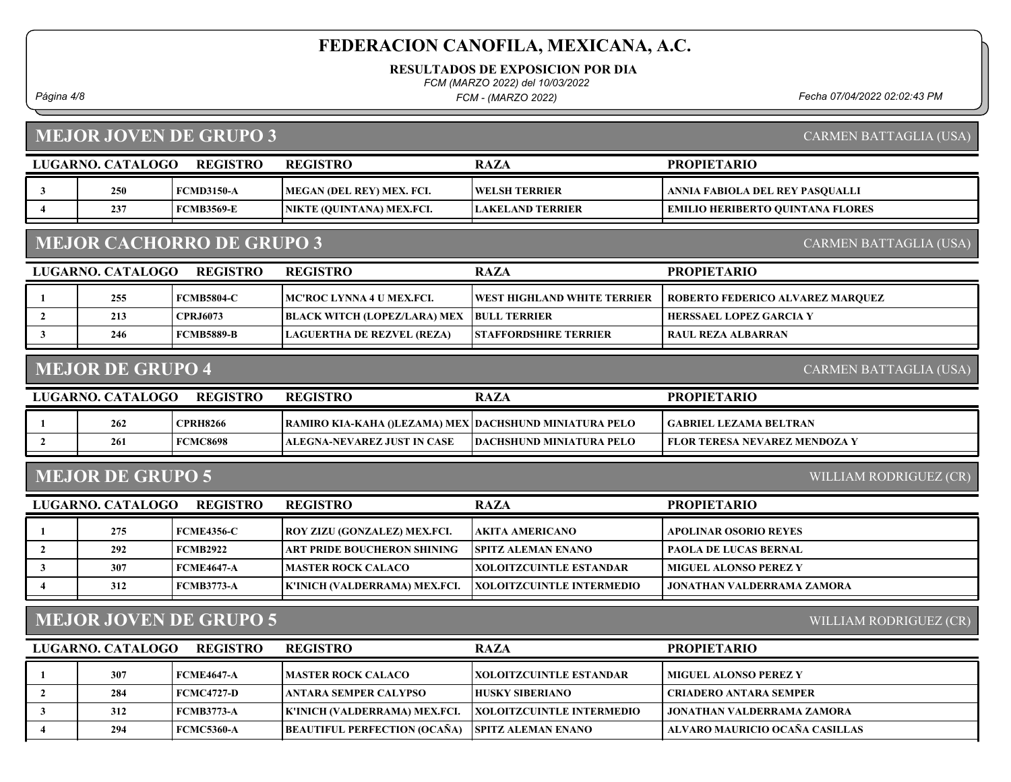RESULTADOS DE EXPOSICION POR DIA

FCM (MARZO 2022) del 10/03/2022

FCM - (MARZO 2022)

Página 4/8 Fecha 07/04/2022 02:02:43 PM

# MEJOR JOVEN DE GRUPO 3

CARMEN BATTAGLIA (USA)

|                         | LUGARNO. CATALOGO        | <b>REGISTRO</b>                  | <b>REGISTRO</b>                                        | <b>RAZA</b>                      | <b>PROPIETARIO</b>                      |
|-------------------------|--------------------------|----------------------------------|--------------------------------------------------------|----------------------------------|-----------------------------------------|
| 3                       | 250                      | <b>FCMD3150-A</b>                | MEGAN (DEL REY) MEX. FCI.                              | <b>WELSH TERRIER</b>             | ANNIA FABIOLA DEL REY PASQUALLI         |
| $\boldsymbol{4}$        | 237                      | <b>FCMB3569-E</b>                | NIKTE (QUINTANA) MEX.FCI.                              | <b>LAKELAND TERRIER</b>          | <b>EMILIO HERIBERTO QUINTANA FLORES</b> |
|                         |                          | <b>MEJOR CACHORRO DE GRUPO 3</b> |                                                        |                                  | <b>CARMEN BATTAGLIA (USA)</b>           |
|                         | LUGARNO. CATALOGO        | <b>REGISTRO</b>                  | <b>REGISTRO</b>                                        | <b>RAZA</b>                      | <b>PROPIETARIO</b>                      |
|                         | 255                      | <b>FCMB5804-C</b>                | MC'ROC LYNNA 4 U MEX.FCI.                              | WEST HIGHLAND WHITE TERRIER      | ROBERTO FEDERICO ALVAREZ MARQUEZ        |
| $\overline{2}$          | 213                      | <b>CPRJ6073</b>                  | <b>BLACK WITCH (LOPEZ/LARA) MEX</b>                    | <b>BULL TERRIER</b>              | <b>HERSSAEL LOPEZ GARCIA Y</b>          |
| 3                       | 246                      | <b>FCMB5889-B</b>                | <b>LAGUERTHA DE REZVEL (REZA)</b>                      | <b>STAFFORDSHIRE TERRIER</b>     | <b>RAUL REZA ALBARRAN</b>               |
|                         | <b>MEJOR DE GRUPO 4</b>  |                                  |                                                        |                                  | <b>CARMEN BATTAGLIA (USA)</b>           |
|                         | LUGARNO. CATALOGO        | <b>REGISTRO</b>                  | <b>REGISTRO</b>                                        | <b>RAZA</b>                      | <b>PROPIETARIO</b>                      |
|                         | 262                      | <b>CPRH8266</b>                  | RAMIRO KIA-KAHA ()LEZAMA) MEX DACHSHUND MINIATURA PELO |                                  | <b>GABRIEL LEZAMA BELTRAN</b>           |
| $\overline{2}$          | 261                      | <b>FCMC8698</b>                  | <b>ALEGNA-NEVAREZ JUST IN CASE</b>                     | <b>DACHSHUND MINIATURA PELO</b>  | FLOR TERESA NEVAREZ MENDOZA Y           |
|                         | <b>MEJOR DE GRUPO 5</b>  |                                  |                                                        |                                  | WILLIAM RODRIGUEZ (CR)                  |
|                         | <b>LUGARNO. CATALOGO</b> | <b>REGISTRO</b>                  | <b>REGISTRO</b>                                        | <b>RAZA</b>                      | <b>PROPIETARIO</b>                      |
|                         | 275                      | <b>FCME4356-C</b>                | ROY ZIZU (GONZALEZ) MEX.FCI.                           | AKITA AMERICANO                  | APOLINAR OSORIO REYES                   |
| $\overline{2}$          | 292                      | <b>FCMB2922</b>                  | ART PRIDE BOUCHERON SHINING                            | <b>SPITZ ALEMAN ENANO</b>        | <b>PAOLA DE LUCAS BERNAL</b>            |
| 3                       | 307                      | <b>FCME4647-A</b>                | <b>MASTER ROCK CALACO</b>                              | <b>XOLOITZCUINTLE ESTANDAR</b>   | <b>MIGUEL ALONSO PEREZ Y</b>            |
| $\overline{\mathbf{4}}$ | 312                      | <b>FCMB3773-A</b>                | K'INICH (VALDERRAMA) MEX.FCI.                          | <b>XOLOITZCUINTLE INTERMEDIO</b> | <b>JONATHAN VALDERRAMA ZAMORA</b>       |
|                         |                          | <b>MEJOR JOVEN DE GRUPO 5</b>    |                                                        |                                  | WILLIAM RODRIGUEZ (CR)                  |
|                         | LUGARNO. CATALOGO        | <b>REGISTRO</b>                  | <b>REGISTRO</b>                                        | <b>RAZA</b>                      | <b>PROPIETARIO</b>                      |
|                         | 307                      | <b>FCME4647-A</b>                | <b>MASTER ROCK CALACO</b>                              | XOLOITZCUINTLE ESTANDAR          | <b>MIGUEL ALONSO PEREZ Y</b>            |
| $\overline{2}$          | 284                      | <b>FCMC4727-D</b>                | <b>ANTARA SEMPER CALYPSO</b>                           | <b>HUSKY SIBERIANO</b>           | <b>CRIADERO ANTARA SEMPER</b>           |
| 3                       | 312                      | <b>FCMB3773-A</b>                | K'INICH (VALDERRAMA) MEX.FCI.                          | <b>XOLOITZCUINTLE INTERMEDIO</b> | JONATHAN VALDERRAMA ZAMORA              |
| $\overline{\mathbf{4}}$ | 294                      | <b>FCMC5360-A</b>                | <b>BEAUTIFUL PERFECTION (OCAÑA)</b>                    | <b>SPITZ ALEMAN ENANO</b>        | ALVARO MAURICIO OCAÑA CASILLAS          |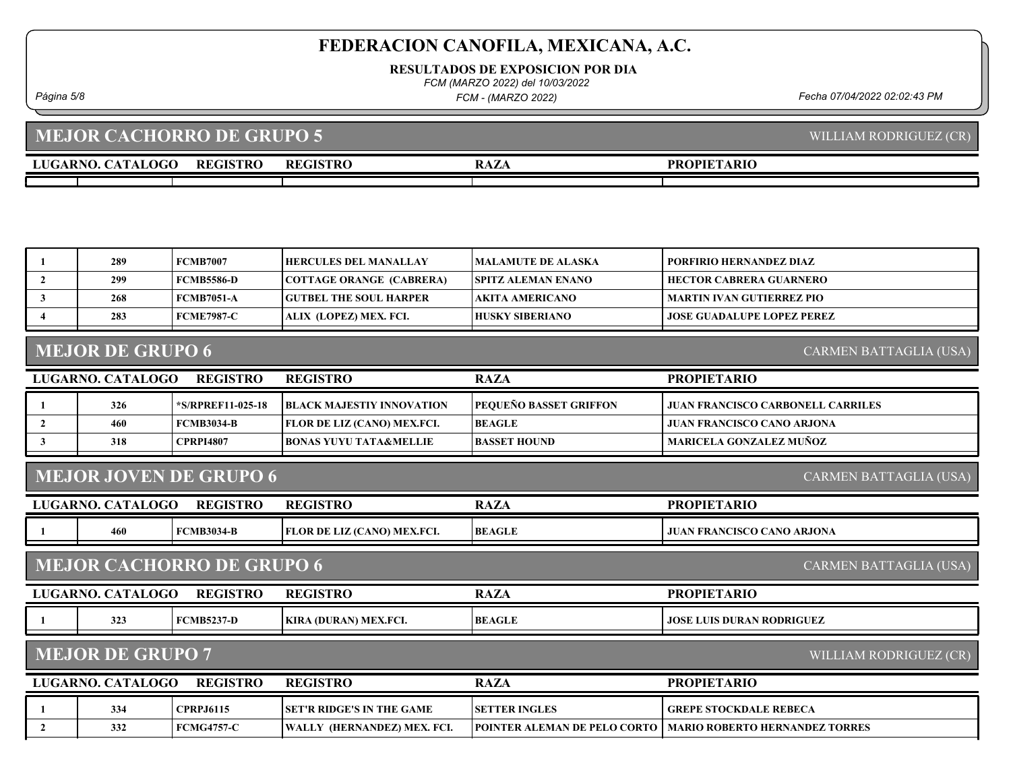RESULTADOS DE EXPOSICION POR DIA

FCM (MARZO 2022) del 10/03/2022

FCM - (MARZO 2022)

# MEJOR CACHORRO DE GRUPO 5

| LUGARNO. CATA<br><b>CATALOGO</b> | <b>REGISTRO</b> | <b>REGISTRO</b> | DA7<br><b>ALA</b> | <b>PROPIETARIO</b> |
|----------------------------------|-----------------|-----------------|-------------------|--------------------|
|                                  |                 |                 |                   |                    |
|                                  |                 |                 |                   |                    |

| -1                                                             | 289                     | <b>FCMB7007</b>                  | <b>HERCULES DEL MANALLAY</b>      | <b>MALAMUTE DE ALASKA</b>           | PORFIRIO HERNANDEZ DIAZ                  |  |  |
|----------------------------------------------------------------|-------------------------|----------------------------------|-----------------------------------|-------------------------------------|------------------------------------------|--|--|
| $\overline{2}$                                                 | 299                     | <b>FCMB5586-D</b>                | <b>COTTAGE ORANGE (CABRERA)</b>   | <b>SPITZ ALEMAN ENANO</b>           | <b>HECTOR CABRERA GUARNERO</b>           |  |  |
| $\mathbf{3}$                                                   | 268                     | <b>FCMB7051-A</b>                | <b>GUTBEL THE SOUL HARPER</b>     | <b>AKITA AMERICANO</b>              | <b>MARTIN IVAN GUTIERREZ PIO</b>         |  |  |
|                                                                | 283                     | <b>FCME7987-C</b>                | ALIX (LOPEZ) MEX. FCI.            | <b>HUSKY SIBERIANO</b>              | <b>JOSE GUADALUPE LOPEZ PEREZ</b>        |  |  |
|                                                                | <b>MEJOR DE GRUPO 6</b> |                                  |                                   |                                     | CARMEN BATTAGLIA (USA)                   |  |  |
|                                                                | LUGARNO. CATALOGO       | <b>REGISTRO</b>                  | <b>REGISTRO</b>                   | <b>RAZA</b>                         | <b>PROPIETARIO</b>                       |  |  |
| 1                                                              | 326                     | *S/RPREF11-025-18                | <b>BLACK MAJESTIY INNOVATION</b>  | PEQUEÑO BASSET GRIFFON              | <b>JUAN FRANCISCO CARBONELL CARRILES</b> |  |  |
| $\overline{2}$                                                 | 460                     | <b>FCMB3034-B</b>                | FLOR DE LIZ (CANO) MEX.FCI.       | <b>BEAGLE</b>                       | <b>JUAN FRANCISCO CANO ARJONA</b>        |  |  |
| 3                                                              | 318                     | <b>CPRPI4807</b>                 | <b>BONAS YUYU TATA&amp;MELLIE</b> | <b>BASSET HOUND</b>                 | <b>MARICELA GONZALEZ MUÑOZ</b>           |  |  |
| <b>MEJOR JOVEN DE GRUPO 6</b><br><b>CARMEN BATTAGLIA (USA)</b> |                         |                                  |                                   |                                     |                                          |  |  |
|                                                                | LUGARNO. CATALOGO       | <b>REGISTRO</b>                  | <b>REGISTRO</b>                   | <b>RAZA</b>                         | <b>PROPIETARIO</b>                       |  |  |
|                                                                | 460                     | <b>FCMB3034-B</b>                | FLOR DE LIZ (CANO) MEX.FCI.       | <b>BEAGLE</b>                       | <b>JUAN FRANCISCO CANO ARJONA</b>        |  |  |
|                                                                |                         | <b>MEJOR CACHORRO DE GRUPO 6</b> |                                   |                                     | CARMEN BATTAGLIA (USA)                   |  |  |
|                                                                | LUGARNO. CATALOGO       | <b>REGISTRO</b>                  | <b>REGISTRO</b>                   | <b>RAZA</b>                         | <b>PROPIETARIO</b>                       |  |  |
| 1                                                              | 323                     | <b>FCMB5237-D</b>                | KIRA (DURAN) MEX.FCI.             | <b>BEAGLE</b>                       | <b>JOSE LUIS DURAN RODRIGUEZ</b>         |  |  |
| <b>MEJOR DE GRUPO 7</b><br>WILLIAM RODRIGUEZ (CR)              |                         |                                  |                                   |                                     |                                          |  |  |
|                                                                | LUGARNO. CATALOGO       | <b>REGISTRO</b>                  | <b>REGISTRO</b>                   | <b>RAZA</b>                         | <b>PROPIETARIO</b>                       |  |  |
|                                                                | 334                     | <b>CPRPJ6115</b>                 | <b>SET'R RIDGE'S IN THE GAME</b>  | <b>SETTER INGLES</b>                | <b>GREPE STOCKDALE REBECA</b>            |  |  |
| $\overline{2}$                                                 | 332                     | <b>FCMG4757-C</b>                | WALLY (HERNANDEZ) MEX. FCI.       | <b>POINTER ALEMAN DE PELO CORTO</b> | <b>MARIO ROBERTO HERNANDEZ TORRES</b>    |  |  |

Página 5/8 Fecha 07/04/2022 02:02:43 PM

WILLIAM RODRIGUEZ (CR)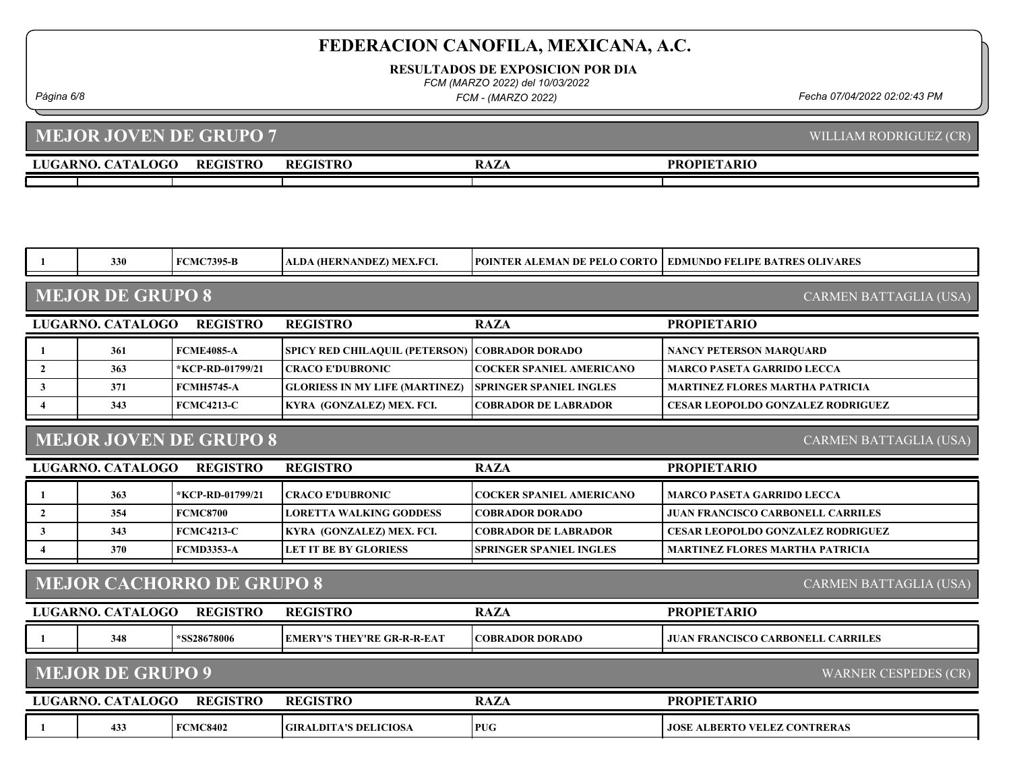RESULTADOS DE EXPOSICION POR DIA

FCM (MARZO 2022) del 10/03/2022

FCM - (MARZO 2022)

Página 6/8 Fecha 07/04/2022 02:02:43 PM

#### LUGARNO. CATALOGO REGISTRO REGISTRO RAZA MEJOR JOVEN DE GRUPO 7 PROPIETARIO WILLIAM RODRIGUEZ (CR) REGISTRO

|                         | 330                                                            | <b>FCMC7395-B</b>                | ALDA (HERNANDEZ) MEX.FCI.                             | POINTER ALEMAN DE PELO CORTO    | <b>EDMUNDO FELIPE BATRES OLIVARES</b>    |  |  |  |
|-------------------------|----------------------------------------------------------------|----------------------------------|-------------------------------------------------------|---------------------------------|------------------------------------------|--|--|--|
|                         | <b>MEJOR DE GRUPO 8</b><br>CARMEN BATTAGLIA (USA)              |                                  |                                                       |                                 |                                          |  |  |  |
|                         | LUGARNO. CATALOGO                                              | <b>REGISTRO</b>                  | <b>REGISTRO</b>                                       | <b>RAZA</b>                     | <b>PROPIETARIO</b>                       |  |  |  |
| -1                      | 361                                                            | <b>FCME4085-A</b>                | <b>SPICY RED CHILAQUIL (PETERSON) COBRADOR DORADO</b> |                                 | <b>NANCY PETERSON MARQUARD</b>           |  |  |  |
| $\overline{2}$          | 363                                                            | *KCP-RD-01799/21                 | <b>CRACO E'DUBRONIC</b>                               | <b>COCKER SPANIEL AMERICANO</b> | <b>MARCO PASETA GARRIDO LECCA</b>        |  |  |  |
| $\mathbf{3}$            | 371                                                            | <b>FCMH5745-A</b>                | <b>GLORIESS IN MY LIFE (MARTINEZ)</b>                 | <b>SPRINGER SPANIEL INGLES</b>  | <b>MARTINEZ FLORES MARTHA PATRICIA</b>   |  |  |  |
| $\overline{\mathbf{4}}$ | 343                                                            | <b>FCMC4213-C</b>                | KYRA (GONZALEZ) MEX. FCI.                             | <b>COBRADOR DE LABRADOR</b>     | <b>CESAR LEOPOLDO GONZALEZ RODRIGUEZ</b> |  |  |  |
|                         | <b>MEJOR JOVEN DE GRUPO 8</b><br><b>CARMEN BATTAGLIA (USA)</b> |                                  |                                                       |                                 |                                          |  |  |  |
|                         | LUGARNO. CATALOGO                                              | <b>REGISTRO</b>                  | <b>REGISTRO</b>                                       | <b>RAZA</b>                     | <b>PROPIETARIO</b>                       |  |  |  |
| -1                      | 363                                                            | *KCP-RD-01799/21                 | <b>CRACO E'DUBRONIC</b>                               | <b>COCKER SPANIEL AMERICANO</b> | <b>MARCO PASETA GARRIDO LECCA</b>        |  |  |  |
| $\overline{2}$          | 354                                                            | <b>FCMC8700</b>                  | <b>LORETTA WALKING GODDESS</b>                        | <b>COBRADOR DORADO</b>          | <b>JUAN FRANCISCO CARBONELL CARRILES</b> |  |  |  |
| $\mathbf{3}$            | 343                                                            | <b>FCMC4213-C</b>                | KYRA (GONZALEZ) MEX. FCI.                             | <b>COBRADOR DE LABRADOR</b>     | <b>CESAR LEOPOLDO GONZALEZ RODRIGUEZ</b> |  |  |  |
| 4                       | 370                                                            | <b>FCMD3353-A</b>                | <b>LET IT BE BY GLORIESS</b>                          | <b>SPRINGER SPANIEL INGLES</b>  | <b>MARTINEZ FLORES MARTHA PATRICIA</b>   |  |  |  |
|                         |                                                                | <b>MEJOR CACHORRO DE GRUPO 8</b> |                                                       |                                 | CARMEN BATTAGLIA (USA)                   |  |  |  |
|                         | LUGARNO. CATALOGO                                              | <b>REGISTRO</b>                  | <b>REGISTRO</b>                                       | <b>RAZA</b>                     | <b>PROPIETARIO</b>                       |  |  |  |
|                         | 348                                                            | *SS28678006                      | <b>EMERY'S THEY'RE GR-R-R-EAT</b>                     | <b>COBRADOR DORADO</b>          | <b>JUAN FRANCISCO CARBONELL CARRILES</b> |  |  |  |
|                         | <b>MEJOR DE GRUPO 9</b>                                        |                                  |                                                       |                                 | <b>WARNER CESPEDES (CR)</b>              |  |  |  |
|                         | LUGARNO. CATALOGO                                              | <b>REGISTRO</b>                  | <b>REGISTRO</b>                                       | <b>RAZA</b>                     | <b>PROPIETARIO</b>                       |  |  |  |
| -1                      | 433                                                            | <b>FCMC8402</b>                  | <b>GIRALDITA'S DELICIOSA</b>                          | <b>PUG</b>                      | <b>JOSE ALBERTO VELEZ CONTRERAS</b>      |  |  |  |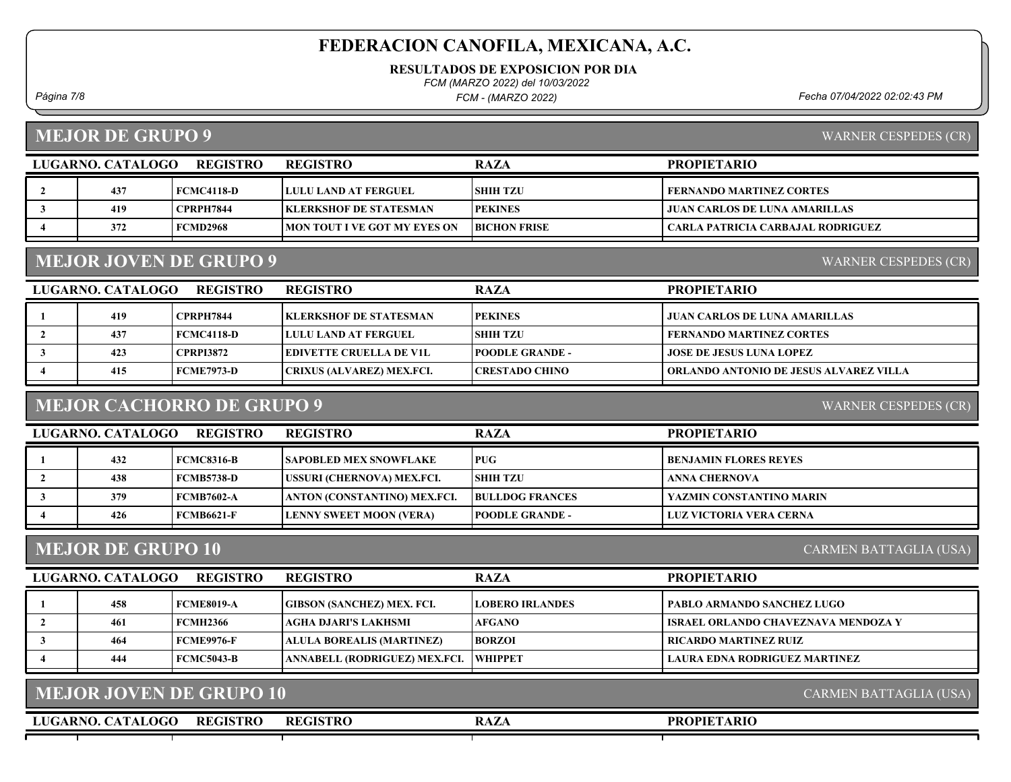RESULTADOS DE EXPOSICION POR DIA

FCM (MARZO 2022) del 10/03/2022

FCM - (MARZO 2022)

Página 7/8 Fecha 07/04/2022 02:02:43 PM

MEJOR DE GRUPO 9

WARNER CESPEDES (CR)

WARNER CESPEDES (CR)

| REGISTRO<br>LUGARNO. CATALOGO |     |                  | <b>REGISTRO</b>                      | <b>RAZA</b>         | <b>PROPIETARIO</b>                |
|-------------------------------|-----|------------------|--------------------------------------|---------------------|-----------------------------------|
|                               | 437 | FCMC4118-D       | <b>LULU LAND AT FERGUEL</b>          | <b>ISHIH TZU</b>    | FERNANDO MARTINEZ CORTES          |
|                               | 419 | <b>CPRPH7844</b> | <b>IKLERKSHOF DE STATESMAN</b>       | <b>PEKINES</b>      | JUAN CARLOS DE LUNA AMARILLAS     |
|                               | 372 | <b>FCMD2968</b>  | <b>IMON TOUT I VE GOT MY EYES ON</b> | <b>BICHON FRISE</b> | CARLA PATRICIA CARBAJAL RODRIGUEZ |

#### MEJOR JOVEN DE GRUPO 9

LUGARNO. CATALOGO REGISTRO RAZA PROPIETARIO REGISTRO 1 419 CPRPH7844 KLERKSHOF DE STATESMAN PEKINES JUAN CARLOS DE LUNA AMARILLAS 2 437 FCMC4118-D LULU LAND AT FERGUEL SHIH TZU FERNANDO MARTINEZ CORTES 3 423 CPRPI3872 EDIVETTE CRUELLA DE V1L POODLE GRANDE - JOSE DE JESUS LUNA LOPEZ 4 415 FCME7973-D CRIXUS (ALVAREZ) MEX.FCI. CRESTADO CHINO | ORLANDO ANTONIO DE JESUS ALVAREZ VILLA

#### MEJOR CACHORRO DE GRUPO 9

WARNER CESPEDES (CR)

| <b>REGISTRO</b><br>LUGARNO. CATALOGO |     |                   | <b>REGISTRO</b>                | <b>RAZA</b>            | <b>PROPIETARIO</b>           |
|--------------------------------------|-----|-------------------|--------------------------------|------------------------|------------------------------|
|                                      | 432 | FCMC8316-B        | <b>SAPOBLED MEX SNOWFLAKE</b>  | <b>PUG</b>             | <b>BENJAMIN FLORES REYES</b> |
|                                      | 438 | FCMB5738-D        | USSURI (CHERNOVA) MEX.FCI.     | <b>SHIH TZU</b>        | ANNA CHERNOVA                |
|                                      | 379 | FCMB7602-A        | ANTON (CONSTANTINO) MEX.FCI.   | <b>BULLDOG FRANCES</b> | YAZMIN CONSTANTINO MARIN     |
|                                      | 426 | <b>FCMB6621-F</b> | <b>LENNY SWEET MOON (VERA)</b> | <b>POODLE GRANDE -</b> | LUZ VICTORIA VERA CERNA      |

#### MEJOR DE GRUPO 10

CARMEN BATTAGLIA (USA)

| LUGARNO. CATALOGO | <b>REGISTRO</b> | <b>REGISTRO</b>                         | <b>RAZA</b>            | <b>PROPIETARIO</b>                    |
|-------------------|-----------------|-----------------------------------------|------------------------|---------------------------------------|
| 458               | FCME8019-A      | GIBSON (SANCHEZ) MEX. FCI.              | <b>LOBERO IRLANDES</b> | PABLO ARMANDO SANCHEZ LUGO            |
| 461               | <b>FCMH2366</b> | AGHA DJARI'S LAKHSMI_                   | <b>AFGANO</b>          | I ISRAEL ORLANDO CHAVEZNAVA MENDOZA Y |
| 464               | FCME9976-F      | ALULA BOREALIS (MARTINEZ)               | <b>BORZOI</b>          | RICARDO MARTINEZ RUIZ                 |
| 444               | FCMC5043-B      | ANNABELL (RODRIGUEZ) MEX.FCI.   WHIPPET |                        | LAURA EDNA RODRIGUEZ MARTINEZ         |

|  |  |  | <b>MEJOR JOVEN DE GRUPO 10</b> |
|--|--|--|--------------------------------|
|--|--|--|--------------------------------|

LUGARNO. CATALOGO REGISTRO RAZA REGISTRO

PROPIETARIO

CARMEN BATTAGLIA (USA)